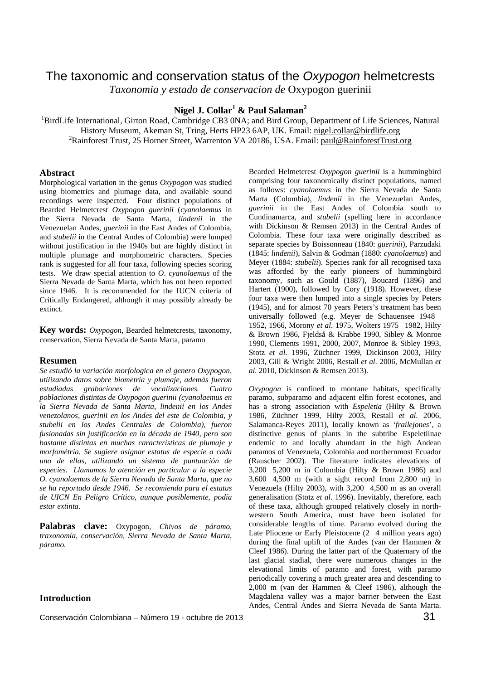# The taxonomic and conservation status of the *Oxypogon* helmetcrests *Taxonomia y estado de conservacion de* Oxypogon guerinii

**Nigel J. Collar<sup>1</sup> & Paul Salaman<sup>2</sup>**

<sup>1</sup>BirdLife International, Girton Road, Cambridge CB3 0NA; and Bird Group, Department of Life Sciences, Natural History Museum, Akeman St, Tring, Herts HP23 6AP, UK. Email: nigel.collar@birdlife.org <sup>2</sup>Rainforest Trust, 25 Horner Street, Warrenton VA 20186, USA. Email: paul@RainforestTrust.org

## **Abstract**

Morphological variation in the genus *Oxypogon* was studied using biometrics and plumage data, and available sound recordings were inspected. Four distinct populations of Bearded Helmetcrest *Oxypogon guerinii* (*cyanolaemus* in the Sierra Nevada de Santa Marta, *lindenii* in the Venezuelan Andes, *guerinii* in the East Andes of Colombia, and *stubelii* in the Central Andes of Colombia) were lumped without justification in the 1940s but are highly distinct in multiple plumage and morphometric characters. Species rank is suggested for all four taxa, following species scoring tests. We draw special attention to *O*. *cyanolaemus* of the Sierra Nevada de Santa Marta, which has not been reported since 1946. It is recommended for the IUCN criteria of Critically Endangered, although it may possibly already be extinct.

**Key words:** *Oxypogon*, Bearded helmetcrests, taxonomy, conservation, Sierra Nevada de Santa Marta, paramo

## **Resumen**

*Se estudió la variación morfologica en el genero Oxypogon, utilizando datos sobre biometría y plumaje, además fueron estudiadas grabaciones de vocalizaciones. Cuatro poblaciones distintas de Oxypogon guerinii (cyanolaemus en la Sierra Nevada de Santa Marta, lindenii en los Andes venezolanos, guerinii en los Andes del este de Colombia, y stubelii en los Andes Centrales de Colombia), fueron fusionadas sin justificación en la década de 1940, pero son bastante distintas en muchas características de plumaje y morfométria. Se sugiere asignar estatus de especie a cada uno de ellas, utilizando un sistema de puntuación de especies. Llamamos la atención en particular a la especie O. cyanolaemus de la Sierra Nevada de Santa Marta, que no se ha reportado desde 1946. Se recomienda para el estatus de UICN En Peligro Crítico, aunque posiblemente, podía estar extinta.* 

**Palabras clave:** Oxypogon*, Chivos de páramo, traxonomía, conservación, Sierra Nevada de Santa Marta, páramo.*

# **Introduction**

Conservación Colombiana – Número 19 - octubre de 2013 **31** 

Bearded Helmetcrest *Oxypogon guerinii* is a hummingbird comprising four taxonomically distinct populations, named as follows: *cyanolaemus* in the Sierra Nevada de Santa Marta (Colombia), *lindenii* in the Venezuelan Andes, *guerinii* in the East Andes of Colombia south to Cundinamarca, and *stubelii* (spelling here in accordance with Dickinson & Remsen 2013) in the Central Andes of Colombia. These four taxa were originally described as separate species by Boissonneau (1840: *guerinii*), Parzudaki (1845: *lindenii*), Salvin & Godman (1880: *cyanolaemus*) and Meyer (1884: *stubelii*). Species rank for all recognised taxa was afforded by the early pioneers of hummingbird taxonomy, such as Gould (1887), Boucard (1896) and Hartert (1900), followed by Cory (1918). However, these four taxa were then lumped into a single species by Peters (1945), and for almost 70 years Peters's treatment has been universally followed (e.g. Meyer de Schauensee 1948 1952, 1966, Morony *et al.* 1975, Wolters 1975 1982, Hilty & Brown 1986, Fjeldså & Krabbe 1990, Sibley & Monroe 1990, Clements 1991, 2000, 2007, Monroe & Sibley 1993, Stotz *et al*. 1996, Züchner 1999, Dickinson 2003, Hilty 2003, Gill & Wright 2006, Restall *et al*. 2006, McMullan *et al*. 2010, Dickinson & Remsen 2013).

*Oxypogon* is confined to montane habitats, specifically paramo, subparamo and adjacent elfin forest ecotones, and has a strong association with *Espeletia* (Hilty & Brown 1986, Züchner 1999, Hilty 2003, Restall *et al*. 2006, Salamanca-Reyes 2011), locally known as '*frailejones*', a distinctive genus of plants in the subtribe Espeletiinae endemic to and locally abundant in the high Andean paramos of Venezuela, Colombia and northernmost Ecuador (Rauscher 2002). The literature indicates elevations of 3,2005,200 m in Colombia (Hilty & Brown 1986) and 3,6004,500 m (with a sight record from 2,800 m) in Venezuela (Hilty 2003), with 3,200 4,500 m as an overall generalisation (Stotz *et al*. 1996). Inevitably, therefore, each of these taxa, although grouped relatively closely in northwestern South America, must have been isolated for considerable lengths of time. Paramo evolved during the Late Pliocene or Early Pleistocene (2 4 million years ago) during the final uplift of the Andes (van der Hammen & Cleef 1986). During the latter part of the Quaternary of the last glacial stadial, there were numerous changes in the elevational limits of paramo and forest, with paramo periodically covering a much greater area and descending to 2,000 m (van der Hammen & Cleef 1986), although the Magdalena valley was a major barrier between the East Andes, Central Andes and Sierra Nevada de Santa Marta.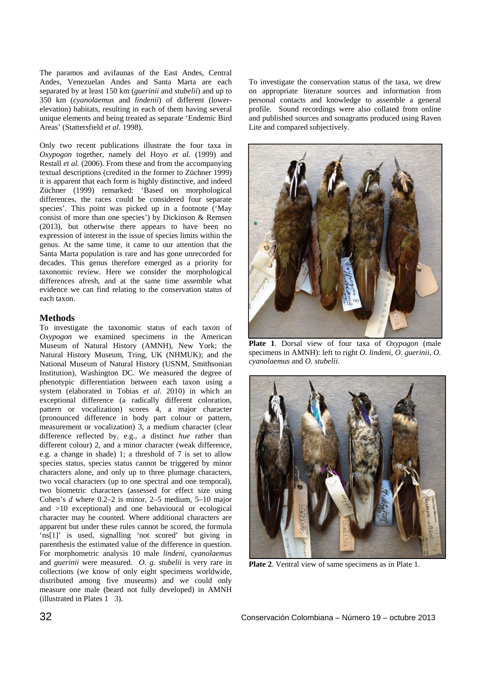The paramos and avifaunas of the East Andes, Central Andes, Venezuelan Andes and Santa Marta are each separated by at least 150 km (*guerinii* and *stubelii*) and up to 350 km (*cyanolaemus* and *lindenii*) of different (lowerelevation) habitats, resulting in each of them having several unique elements and being treated as separate 'Endemic Bird Areas' (Stattersfield *et al*. 1998).

Only two recent publications illustrate the four taxa in *Oxypogon* together, namely del Hoyo *et al.* (1999) and Restall *et al.* (2006). From these and from the accompanying textual descriptions (credited in the former to Züchner 1999) it is apparent that each form is highly distinctive, and indeed Züchner (1999) remarked: 'Based on morphological differences, the races could be considered four separate species'. This point was picked up in a footnote ('May consist of more than one species') by Dickinson & Remsen (2013), but otherwise there appears to have been no expression of interest in the issue of species limits within the genus. At the same time, it came to our attention that the Santa Marta population is rare and has gone unrecorded for decades. This genus therefore emerged as a priority for taxonomic review. Here we consider the morphological differences afresh, and at the same time assemble what evidence we can find relating to the conservation status of each taxon.

## **Methods**

To investigate the taxonomic status of each taxon of *Oxypogon* we examined specimens in the American Museum of Natural History (AMNH), New York; the Natural History Museum, Tring, UK (NHMUK); and the National Museum of Natural History (USNM, Smithsonian Institution), Washington DC. We measured the degree of phenotypic differentiation between each taxon using a system (elaborated in Tobias *et al*. 2010) in which an exceptional difference (a radically different coloration, pattern or vocalization) scores 4, a major character (pronounced difference in body part colour or pattern, measurement or vocalization) 3, a medium character (clear difference reflected by, e.g., a distinct *hue* rather than different colour) 2, and a minor character (weak difference, e.g. a change in shade) 1; a threshold of 7 is set to allow species status, species status cannot be triggered by minor characters alone, and only up to three plumage characters, two vocal characters (up to one spectral and one temporal), two biometric characters (assessed for effect size using Cohen's *d* where 0.2–2 is minor, 2–5 medium, 5–10 major and >10 exceptional) and one behavioural or ecological character may be counted. Where additional characters are apparent but under these rules cannot be scored, the formula 'ns[1]' is used, signalling 'not scored' but giving in parenthesis the estimated value of the difference in question. For morphometric analysis 10 male *lindeni*, *cyanolaemus* and *guerinii* were measured. *O. g. stubelii* is very rare in collections (we know of only eight specimens worldwide, distributed among five museums) and we could only measure one male (beard not fully developed) in AMNH  $(i)$ llustrated in Plates 1 3).

To investigate the conservation status of the taxa, we drew on appropriate literature sources and information from personal contacts and knowledge to assemble a general profile. Sound recordings were also collated from online and published sources and sonagrams produced using Raven Lite and compared subjectively.



**Plate 1**. Dorsal view of four taxa of *Oxypogon* (male specimens in AMNH): left to right *O. lindeni*, *O. guerinii*, *O. cyanolaemus* and *O. stubelii*.



**Plate 2**. Ventral view of same specimens as in Plate 1.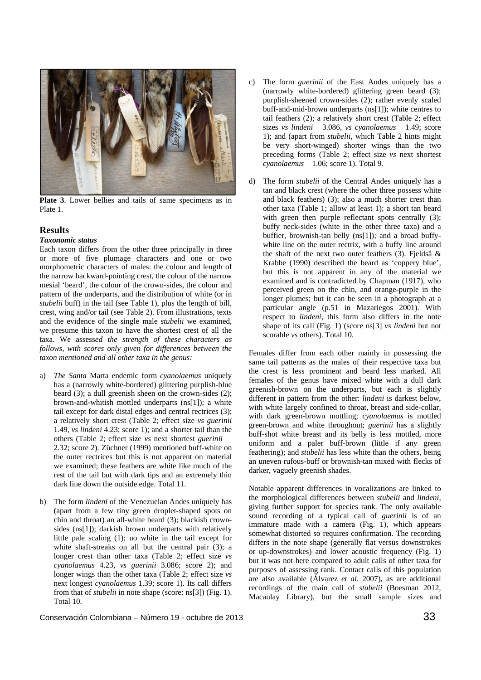

**Plate 3**. Lower bellies and tails of same specimens as in Plate 1.

### **Results**

## *Taxonomic status*

Each taxon differs from the other three principally in three or more of five plumage characters and one or two morphometric characters of males: the colour and length of the narrow backward-pointing crest, the colour of the narrow mesial 'beard', the colour of the crown-sides, the colour and pattern of the underparts, and the distribution of white (or in *stubelii* buff) in the tail (see Table 1), plus the length of bill, crest, wing and/or tail (see Table 2). From illustrations, texts and the evidence of the single male *stubelii* we examined, we presume this taxon to have the shortest crest of all the taxa. We assess*ed the strength of these characters as follows, with scores only given for differences between the taxon mentioned and all other taxa in the genus:* 

- a) *The Santa* Marta endemic form *cyanolaemus* uniquely has a (narrowly white-bordered) glittering purplish-blue beard (3); a dull greenish sheen on the crown-sides (2); brown-and-whitish mottled underparts (ns[1]); a white tail except for dark distal edges and central rectrices (3); a relatively short crest (Table 2; effect size *vs guerinii* 1.49, *vs lindeni* 4.23; score 1); and a shorter tail than the others (Table 2; effect size *vs* next shortest *guerinii* 2.32; score 2). Züchner (1999) mentioned buff-white on the outer rectrices but this is not apparent on material we examined; these feathers are white like much of the rest of the tail but with dark tips and an extremely thin dark line down the outside edge. Total 11.
- b) The form *lindeni* of the Venezuelan Andes uniquely has (apart from a few tiny green droplet-shaped spots on chin and throat) an all-white beard (3); blackish crownsides (ns[1]); darkish brown underparts with relatively little pale scaling (1); no white in the tail except for white shaft-streaks on all but the central pair (3); a longer crest than other taxa (Table 2; effect size *vs cyanolaemus* 4.23, *vs guerinii* 3.086; score 2); and longer wings than the other taxa (Table 2; effect size *vs* next longest *cyanolaemus* 1.39; score 1). Its call differs from that of *stubelii* in note shape (score: ns[3]) (Fig. 1). Total 10.
- c) The form *guerinii* of the East Andes uniquely has a (narrowly white-bordered) glittering green beard (3); purplish-sheened crown-sides (2); rather evenly scaled buff-and-mid-brown underparts (ns[1]); white centres to tail feathers (2); a relatively short crest (Table 2; effect sizes *vs lindeni* 3.086, *vs cyanolaemus* 1.49; score 1); and (apart from *stubelii*, which Table 2 hints might be very short-winged) shorter wings than the two preceding forms (Table 2; effect size *vs* next shortest *cyanolaemus* 1.06; score 1). Total 9.
- d) The form *stubelii* of the Central Andes uniquely has a tan and black crest (where the other three possess white and black feathers) (3); also a much shorter crest than other taxa (Table 1; allow at least 1); a short tan beard with green then purple reflectant spots centrally (3); buffy neck-sides (white in the other three taxa) and a buffier, brownish-tan belly (ns[1]); and a broad buffywhite line on the outer rectrix, with a buffy line around the shaft of the next two outer feathers (3). Fieldså  $\&$ Krabbe (1990) described the beard as 'coppery blue', but this is not apparent in any of the material we examined and is contradicted by Chapman (1917), who perceived green on the chin, and orange-purple in the longer plumes; but it can be seen in a photograph at a particular angle (p.51 in Mazariegos 2001). With respect to *lindeni*, this form also differs in the note shape of its call (Fig. 1) (score ns[3] *vs lindeni* but not scorable *vs* others). Total 10.

Females differ from each other mainly in possessing the same tail patterns as the males of their respective taxa but the crest is less prominent and beard less marked. All females of the genus have mixed white with a dull dark greenish-brown on the underparts, but each is slightly different in pattern from the other: *lindeni* is darkest below, with white largely confined to throat, breast and side-collar, with dark green-brown mottling; *cyanolaemus* is mottled green-brown and white throughout; *guerinii* has a slightly buff-shot white breast and its belly is less mottled, more uniform and a paler buff-brown (little if any green feathering); and *stubelii* has less white than the others, being an uneven rufous-buff or brownish-tan mixed with flecks of darker, vaguely greenish shades.

Notable apparent differences in vocalizations are linked to the morphological differences between *stubelii* and *lindeni*, giving further support for species rank. The only available sound recording of a typical call of *guerinii* is of an immature made with a camera (Fig. 1), which appears somewhat distorted so requires confirmation. The recording differs in the note shape (generally flat versus downstrokes or up-downstrokes) and lower acoustic frequency (Fig. 1) but it was not here compared to adult calls of other taxa for purposes of assessing rank. Contact calls of this population are also available (Álvarez *et al*. 2007), as are additional recordings of the main call of *stubelii* (Boesman 2012, Macaulay Library), but the small sample sizes and

Conservación Colombiana – Número 19 - octubre de 2013 33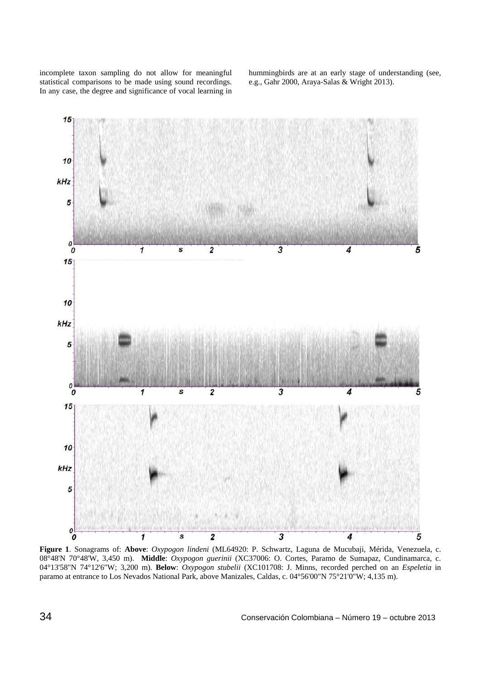incomplete taxon sampling do not allow for meaningful statistical comparisons to be made using sound recordings. In any case, the degree and significance of vocal learning in hummingbirds are at an early stage of understanding (see, e.g., Gahr 2000, Araya-Salas & Wright 2013).



**Figure 1**. Sonagrams of: **Above**: *Oxypogon lindeni* (ML64920: P. Schwartz, Laguna de Mucubaji, Mérida, Venezuela, c. 08°48'N 70°48'W, 3,450 m). **Middle**: *Oxypogon guerinii* (XC37006: O. Cortes, Paramo de Sumapaz, Cundinamarca, c. 04°13'58"N 74°12'6"W; 3,200 m). **Below**: *Oxypogon stubelii* (XC101708: J. Minns, recorded perched on an *Espeletia* in paramo at entrance to Los Nevados National Park, above Manizales, Caldas, c. 04°56'00"N 75°21'0"W; 4,135 m).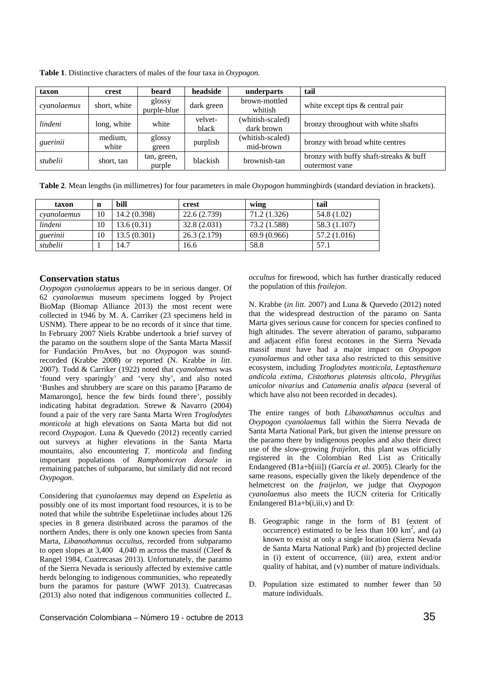| taxon       | crest            | beard                 | headside         | underparts                     | tail                                                     |
|-------------|------------------|-----------------------|------------------|--------------------------------|----------------------------------------------------------|
| cvanolaemus | short, white     | glossy<br>purple-blue | dark green       | brown-mottled<br>whitish       | white except tips $&central pair$                        |
| lindeni     | long, white      | white                 | velvet-<br>black | (whitish-scaled)<br>dark brown | bronzy throughout with white shafts                      |
| guerinii    | medium,<br>white | glossy<br>green       | purplish         | (whitish-scaled)<br>mid-brown  | bronzy with broad white centres                          |
| stubelii    | short, tan       | tan, green,<br>purple | blackish         | brownish-tan                   | bronzy with buffy shaft-streaks & buff<br>outermost vane |

**Table 1**. Distinctive characters of males of the four taxa in *Oxypogon.* 

**Table 2**. Mean lengths (in millimetres) for four parameters in male *Oxypogon* hummingbirds (standard deviation in brackets).

| taxon       | n  | bill         | crest        | wing         | tail         |
|-------------|----|--------------|--------------|--------------|--------------|
| cvanolaemus | 10 | 14.2 (0.398) | 22.6 (2.739) | 71.2 (1.326) | 54.8 (1.02)  |
| lindeni     | 10 | 13.6(0.31)   | 32.8(2.031)  | 73.2 (1.588) | 58.3 (1.107) |
| guerinii    | 10 | 13.5(0.301)  | 26.3(2.179)  | 69.9 (0.966) | 57.2 (1.016) |
| stubelii    |    | 14.7         | 16.6         | 58.8         | 57.1         |

## **Conservation status**

*Oxypogon cyanolaemus* appears to be in serious danger. Of 62 *cyanolaemus* museum specimens logged by Project BioMap (Biomap Alliance 2013) the most recent were collected in 1946 by M. A. Carriker (23 specimens held in USNM). There appear to be no records of it since that time. In February 2007 Niels Krabbe undertook a brief survey of the paramo on the southern slope of the Santa Marta Massif for Fundación ProAves, but no *Oxypogon* was soundrecorded (Krabbe 2008) or reported (N. Krabbe *in litt*. 2007). Todd & Carriker (1922) noted that *cyanolaemus* was 'found very sparingly' and 'very shy', and also noted 'Bushes and shrubbery are scare on this paramo [Paramo de Mamarongo], hence the few birds found there', possibly indicating habitat degradation. Strewe & Navarro (2004) found a pair of the very rare Santa Marta Wren *Troglodytes monticola* at high elevations on Santa Marta but did not record *Oxypogon*. Luna & Quevedo (2012) recently carried out surveys at higher elevations in the Santa Marta mountains, also encountering *T. monticola* and finding important populations of *Ramphomicron dorsale* in remaining patches of subparamo, but similarly did not record *Oxypogon*.

Considering that *cyanolaemus* may depend on *Espeletia* as possibly one of its most important food resources, it is to be noted that while the subtribe Espeletiinae includes about 126 species in 8 genera distributed across the paramos of the northern Andes, there is only one known species from Santa Marta, *Libanothamnus occultus*, recorded from subparamo to open slopes at 3,400  $-4,040$  m across the massif (Cleef & Rangel 1984, Cuatrecasas 2013). Unfortunately, the paramo of the Sierra Nevada is seriously affected by extensive cattle herds belonging to indigenous communities, who repeatedly burn the paramos for pasture (WWF 2013). Cuatrecasas (2013) also noted that indigenous communities collected *L.* 

*occultus* for firewood, which has further drastically reduced the population of this *frailejon*.

N. Krabbe (*in litt*. 2007) and Luna & Quevedo (2012) noted that the widespread destruction of the paramo on Santa Marta gives serious cause for concern for species confined to high altitudes. The severe alteration of paramo, subparamo and adjacent elfin forest ecotones in the Sierra Nevada massif must have had a major impact on *Oxypogon cyanolaemus* and other taxa also restricted to this sensitive ecosystem, including *Troglodytes monticola*, *Leptasthenura andicola extima*, *Cistothorus platensis alticola*, *Phrygilus unicolor nivarius* and *Catamenia analis alpaca* (several of which have also not been recorded in decades).

The entire ranges of both *Libanothamnus occultus* and *Oxypogon cyanolaemus* fall within the Sierra Nevada de Santa Marta National Park, but given the intense pressure on the paramo there by indigenous peoples and also their direct use of the slow-growing *fraijelon*, this plant was officially registered in the Colombian Red List as Critically Endangered (B1a+b[iii]) (García *et al*. 2005). Clearly for the same reasons, especially given the likely dependence of the helmetcrest on the *fraijelon*, we judge that *Oxypogon cyanolaemus* also meets the IUCN criteria for Critically Endangered B1a+b(i,iii,v) and D:

- B. Geographic range in the form of B1 (extent of occurrence) estimated to be less than  $100 \text{ km}^2$ , and  $(a)$ known to exist at only a single location (Sierra Nevada de Santa Marta National Park) and (b) projected decline in (i) extent of occurrence, (iii) area, extent and/or quality of habitat, and (v) number of mature individuals.
- D. Population size estimated to number fewer than 50 mature individuals.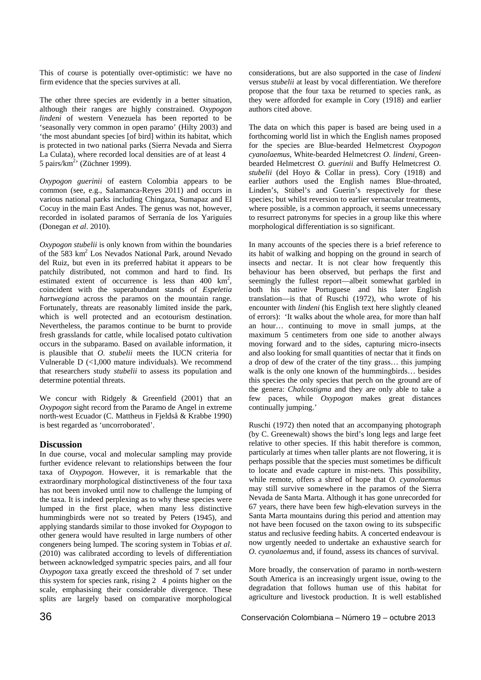This of course is potentially over-optimistic: we have no firm evidence that the species survives at all.

The other three species are evidently in a better situation, although their ranges are highly constrained. *Oxypogon lindeni* of western Venezuela has been reported to be 'seasonally very common in open paramo' (Hilty 2003) and 'the most abundant species [of bird] within its habitat, which is protected in two national parks (Sierra Nevada and Sierra La Culata), where recorded local densities are of at least 4 5 pairs/ $km^2$ ' (Züchner 1999).

*Oxypogon guerinii* of eastern Colombia appears to be common (see, e.g., Salamanca-Reyes 2011) and occurs in various national parks including Chingaza, Sumapaz and El Cocuy in the main East Andes. The genus was not, however, recorded in isolated paramos of Serranía de los Yariguíes (Donegan *et al*. 2010).

*Oxypogon stubelii* is only known from within the boundaries of the 583 km<sup>2</sup> Los Nevados National Park, around Nevado del Ruiz, but even in its preferred habitat it appears to be patchily distributed, not common and hard to find. Its estimated extent of occurrence is less than  $400 \text{ km}^2$ , coincident with the superabundant stands of *Espeletia hartwegiana* across the paramos on the mountain range. Fortunately, threats are reasonably limited inside the park, which is well protected and an ecotourism destination. Nevertheless, the paramos continue to be burnt to provide fresh grasslands for cattle, while localised potato cultivation occurs in the subparamo. Based on available information, it is plausible that *O. stubelii* meets the IUCN criteria for Vulnerable D (<1,000 mature individuals). We recommend that researchers study *stubelii* to assess its population and determine potential threats.

We concur with Ridgely & Greenfield (2001) that an *Oxypogon* sight record from the Paramo de Angel in extreme north-west Ecuador (C. Mattheus in Fjeldså & Krabbe 1990) is best regarded as 'uncorroborated'.

## **Discussion**

In due course, vocal and molecular sampling may provide further evidence relevant to relationships between the four taxa of *Oxypogon*. However, it is remarkable that the extraordinary morphological distinctiveness of the four taxa has not been invoked until now to challenge the lumping of the taxa. It is indeed perplexing as to why these species were lumped in the first place, when many less distinctive hummingbirds were not so treated by Peters (1945), and applying standards similar to those invoked for *Oxypogon* to other genera would have resulted in large numbers of other congeners being lumped. The scoring system in Tobias *et al*. (2010) was calibrated according to levels of differentiation between acknowledged sympatric species pairs, and all four *Oxypogon* taxa greatly exceed the threshold of 7 set under this system for species rank, rising  $2\overline{4}$  points higher on the scale, emphasising their considerable divergence. These splits are largely based on comparative morphological

considerations, but are also supported in the case of *lindeni* versus *stubelii* at least by vocal differentiation. We therefore propose that the four taxa be returned to species rank, as they were afforded for example in Cory (1918) and earlier authors cited above.

The data on which this paper is based are being used in a forthcoming world list in which the English names proposed for the species are Blue-bearded Helmetcrest *Oxypogon cyanolaemus*, White-bearded Helmetcrest *O. lindeni*, Greenbearded Helmetcrest *O. guerinii* and Buffy Helmetcrest *O. stubelii* (del Hoyo & Collar in press). Cory (1918) and earlier authors used the English names Blue-throated, Linden's, Stübel's and Guerin's respectively for these species; but whilst reversion to earlier vernacular treatments, where possible, is a common approach, it seems unnecessary to resurrect patronyms for species in a group like this where morphological differentiation is so significant.

In many accounts of the species there is a brief reference to its habit of walking and hopping on the ground in search of insects and nectar. It is not clear how frequently this behaviour has been observed, but perhaps the first and seemingly the fullest report—albeit somewhat garbled in both his native Portuguese and his later English translation—is that of Ruschi (1972), who wrote of his encounter with *lindeni* (his English text here slightly cleaned of errors): 'It walks about the whole area, for more than half an hour… continuing to move in small jumps, at the maximum 5 centimeters from one side to another always moving forward and to the sides, capturing micro-insects and also looking for small quantities of nectar that it finds on a drop of dew of the crater of the tiny grass… this jumping walk is the only one known of the hummingbirds… besides this species the only species that perch on the ground are of the genera: *Chalcostigma* and they are only able to take a few paces, while *Oxypogon* makes great distances continually jumping.'

Ruschi (1972) then noted that an accompanying photograph (by C. Greenewalt) shows the bird's long legs and large feet relative to other species. If this habit therefore is common, particularly at times when taller plants are not flowering, it is perhaps possible that the species must sometimes be difficult to locate and evade capture in mist-nets. This possibility, while remote, offers a shred of hope that *O. cyanolaemus* may still survive somewhere in the paramos of the Sierra Nevada de Santa Marta. Although it has gone unrecorded for 67 years, there have been few high-elevation surveys in the Santa Marta mountains during this period and attention may not have been focused on the taxon owing to its subspecific status and reclusive feeding habits. A concerted endeavour is now urgently needed to undertake an exhaustive search for *O. cyanolaemus* and, if found, assess its chances of survival.

More broadly, the conservation of paramo in north-western South America is an increasingly urgent issue, owing to the degradation that follows human use of this habitat for agriculture and livestock production. It is well established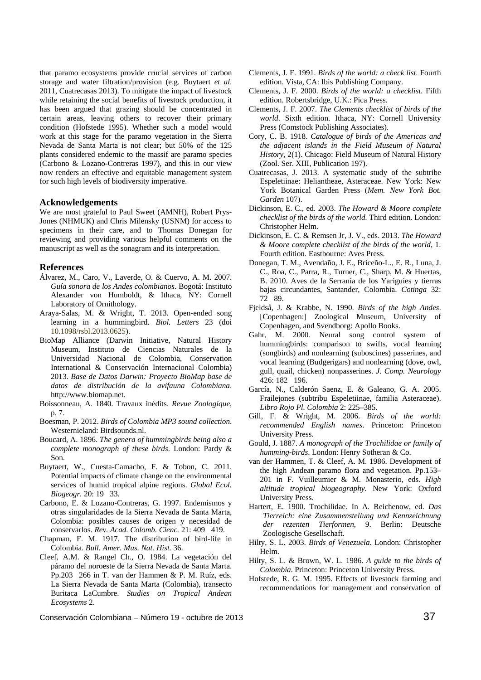that paramo ecosystems provide crucial services of carbon storage and water filtration/provision (e.g. Buytaert *et al*. 2011, Cuatrecasas 2013). To mitigate the impact of livestock while retaining the social benefits of livestock production, it has been argued that grazing should be concentrated in certain areas, leaving others to recover their primary condition (Hofstede 1995). Whether such a model would work at this stage for the paramo vegetation in the Sierra Nevada de Santa Marta is not clear; but 50% of the 125 plants considered endemic to the massif are paramo species (Carbono & Lozano-Contreras 1997), and this in our view now renders an effective and equitable management system for such high levels of biodiversity imperative.

#### **Acknowledgements**

We are most grateful to Paul Sweet (AMNH), Robert Prys-Jones (NHMUK) and Chris Milensky (USNM) for access to specimens in their care, and to Thomas Donegan for reviewing and providing various helpful comments on the manuscript as well as the sonagram and its interpretation.

#### **References**

- Álvarez, M., Caro, V., Laverde, O. & Cuervo, A. M. 2007. *Guía sonora de los Andes colombianos*. Bogotá: Instituto Alexander von Humboldt, & Ithaca, NY: Cornell Laboratory of Ornithology.
- Araya-Salas, M. & Wright, T. 2013. Open-ended song learning in a hummingbird. *Biol. Letters* 23 (doi 10.1098/rsbl.2013.0625).
- BioMap Alliance (Darwin Initiative, Natural History Museum, Instituto de Ciencias Naturales de la Universidad Nacional de Colombia, Conservation International & Conservación Internacional Colombia) 2013. *Base de Datos Darwin: Proyecto BioMap base de datos de distribución de la avifauna Colombiana*. http://www.biomap.net.
- Boissonneau, A. 1840. Travaux inédits. *Revue Zoologique*, p. 7.
- Boesman, P. 2012. *Birds of Colombia MP3 sound collection*. Westernieland: Birdsounds.nl.
- Boucard, A. 1896. *The genera of hummingbirds being also a complete monograph of these birds*. London: Pardy & Son.
- Buytaert, W., Cuesta-Camacho, F. & Tobon, C. 2011. Potential impacts of climate change on the environmental services of humid tropical alpine regions. *Global Ecol. Biogeogr.* 20: 19 33.
- Carbono, E. & Lozano-Contreras, G. 1997. Endemismos y otras singularidades de la Sierra Nevada de Santa Marta, Colombia: posibles causes de origen y necesidad de conservarlos. Rev. Acad. Colomb. Cienc. 21: 409 419.
- Chapman, F. M. 1917. The distribution of bird-life in Colombia. *Bull. Amer. Mus. Nat. Hist.* 36.
- Cleef, A.M. & Rangel Ch., O. 1984. La vegetación del páramo del noroeste de la Sierra Nevada de Santa Marta. Pp.203 266 in T. van der Hammen & P. M. Ruíz, eds. La Sierra Nevada de Santa Marta (Colombia), transecto BuritacaLaCumbre. *Studies on Tropical Andean Ecosystems* 2.
- Clements, J. F. 1991. *Birds of the world: a check list*. Fourth edition. Vista, CA: Ibis Publishing Company.
- Clements, J. F. 2000. *Birds of the world: a checklist*. Fifth edition. Robertsbridge, U.K.: Pica Press.
- Clements, J. F. 2007. *The Clements checklist of birds of the world*. Sixth edition. Ithaca, NY: Cornell University Press (Comstock Publishing Associates).
- Cory, C. B. 1918. *Catalogue of birds of the Americas and the adjacent islands in the Field Museum of Natural History*, 2(1). Chicago: Field Museum of Natural History (Zool. Ser. XIII, Publication 197).
- Cuatrecasas, J. 2013. A systematic study of the subtribe Espeletiinae: Heliantheae, Asteraceae. New York: New York Botanical Garden Press (*Mem. New York Bot. Garden* 107).
- Dickinson, E. C., ed. 2003. *The Howard & Moore complete checklist of the birds of the world.* Third edition. London: Christopher Helm.
- Dickinson, E. C. & Remsen Jr, J. V., eds. 2013. *The Howard & Moore complete checklist of the birds of the world*, 1. Fourth edition. Eastbourne: Aves Press.
- Donegan, T. M., Avendaño, J. E., Briceño-L., E. R., Luna, J. C., Roa, C., Parra, R., Turner, C., Sharp, M. & Huertas, B. 2010. Aves de la Serranía de los Yariguíes y tierras bajas circundantes, Santander, Colombia. *Cotinga* 32: 72 89.
- Fjeldså, J. & Krabbe, N. 1990. *Birds of the high Andes*. [Copenhagen:] Zoological Museum, University of Copenhagen, and Svendborg: Apollo Books.
- Gahr, M. 2000. Neural song control system of hummingbirds: comparison to swifts, vocal learning (songbirds) and nonlearning (suboscines) passerines, and vocal learning (Budgerigars) and nonlearning (dove, owl, gull, quail, chicken) nonpasserines. *J. Comp. Neurology* 426: 182 196.
- García, N., Calderón Saenz, E. & Galeano, G. A. 2005. Frailejones (subtribu Espeletiinae, familia Asteraceae). *Libro Rojo Pl. Colombia* 2: 225–385.
- Gill, F. & Wright, M. 2006. *Birds of the world: recommended English names*. Princeton: Princeton University Press.
- Gould, J. 1887. *A monograph of the Trochilidae or family of humming-birds*. London: Henry Sotheran & Co.
- van der Hammen, T. & Cleef, A. M. 1986. Development of the high Andean paramo flora and vegetation. Pp.153– 201 in F. Vuilleumier & M. Monasterio, eds. *High altitude tropical biogeography*. New York: Oxford University Press.
- Hartert, E. 1900. Trochilidae. In A. Reichenow, ed. *Das Tierreich: eine Zusammenstellung und Kennzeichnung der rezenten Tierformen*, 9. Berlin: Deutsche Zoologische Gesellschaft.
- Hilty, S. L. 2003. *Birds of Venezuela*. London: Christopher Helm.
- Hilty, S. L. & Brown, W. L. 1986. *A guide to the birds of Colombia*. Princeton: Princeton University Press.
- Hofstede, R. G. M. 1995. Effects of livestock farming and recommendations for management and conservation of

Conservación Colombiana – Número 19 - octubre de 2013 **37**